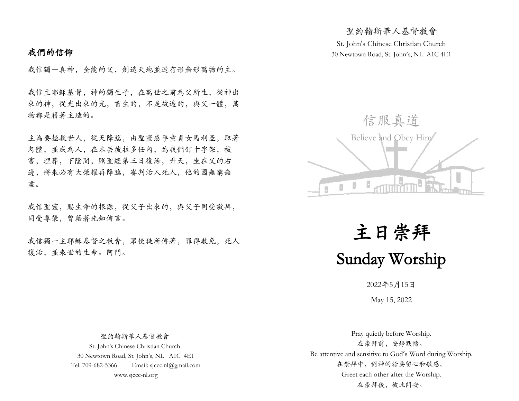# 我們的信仰

我信獨一真神,全能的父,創造天地並造有形無形萬物的主。

我信主耶穌基督,神的獨生子,在萬世之前為父所生,從神出 來的神,從光出來的光,首生的,不是被造的,與父一體,萬 物都是藉著主造的。

主為要拯救世人,從天降臨,由聖靈感孕童貞女馬利亞,取著 肉體,並成為人,在本丟彼拉多任內,為我們釘十字架,被 害,埋葬,下陰間,照聖經第三日復活,升天,坐在父的右 邊,將來必有大榮耀再降臨,審判活人死人,他的國無窮無 盡。

我信聖靈,賜生命的根源,從父子出來的,與父子同受敬拜, 同受尊榮,曾藉著先知傳言。

我信獨一主耶穌基督之教會,眾使徒所傳著,罪得赦免,死人 復活,並來世的生命。阿門。

St. John's Chinese Christian Church 30 Newtown Road, St. John's, NL A1C 4E1

聖約翰斯華人基督教會



主日崇拜 Sunday Worship

2022年5月15日

May 15, 2022

 聖約翰斯華人基督教會 St. John's Chinese Christian Church 30 Newtown Road, St. John's, NL A1C 4E1 Tel: 709-682-5366 Email: sjccc.nl@gmail.com www.sjccc-nl.org

Pray quietly before Worship. 在崇拜前,安靜默禱。 Be attentive and sensitive to God's Word during Worship. 在崇拜中,對神的話要留心和敏感。 Greet each other after the Worship. 在崇拜後,彼此問安。